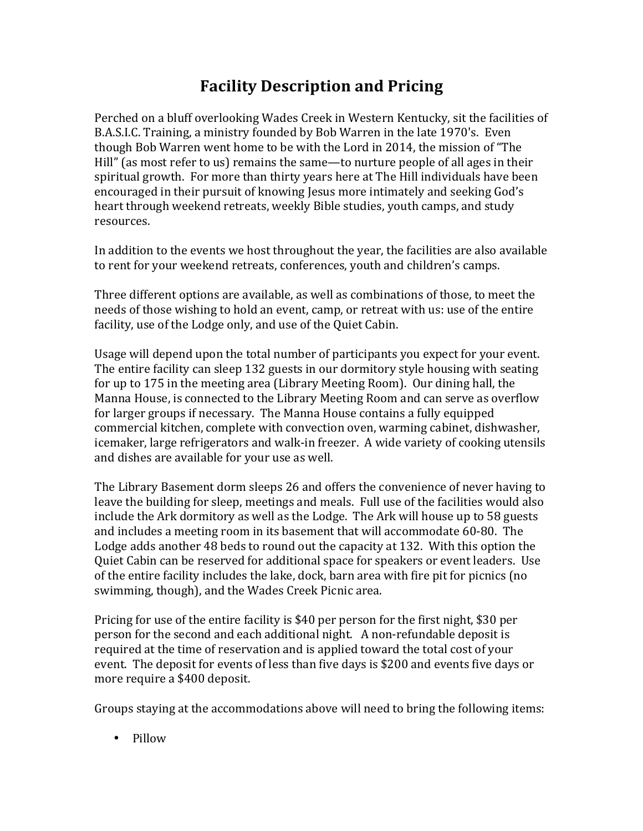## **Facility Description and Pricing**

Perched on a bluff overlooking Wades Creek in Western Kentucky, sit the facilities of B.A.S.I.C. Training, a ministry founded by Bob Warren in the late 1970's. Even though Bob Warren went home to be with the Lord in 2014, the mission of "The Hill" (as most refer to us) remains the same—to nurture people of all ages in their spiritual growth. For more than thirty years here at The Hill individuals have been encouraged in their pursuit of knowing Jesus more intimately and seeking God's heart through weekend retreats, weekly Bible studies, youth camps, and study resources.

In addition to the events we host throughout the year, the facilities are also available to rent for your weekend retreats, conferences, youth and children's camps.

Three different options are available, as well as combinations of those, to meet the needs of those wishing to hold an event, camp, or retreat with us: use of the entire facility, use of the Lodge only, and use of the Quiet Cabin.

Usage will depend upon the total number of participants you expect for your event. The entire facility can sleep 132 guests in our dormitory style housing with seating for up to 175 in the meeting area (Library Meeting Room). Our dining hall, the Manna House, is connected to the Library Meeting Room and can serve as overflow for larger groups if necessary. The Manna House contains a fully equipped commercial kitchen, complete with convection oven, warming cabinet, dishwasher, icemaker, large refrigerators and walk-in freezer. A wide variety of cooking utensils and dishes are available for your use as well.

The Library Basement dorm sleeps 26 and offers the convenience of never having to leave the building for sleep, meetings and meals. Full use of the facilities would also include the Ark dormitory as well as the Lodge. The Ark will house up to 58 guests and includes a meeting room in its basement that will accommodate 60-80. The Lodge adds another 48 beds to round out the capacity at 132. With this option the Quiet Cabin can be reserved for additional space for speakers or event leaders. Use of the entire facility includes the lake, dock, barn area with fire pit for picnics (no swimming, though), and the Wades Creek Picnic area.

Pricing for use of the entire facility is  $$40$  per person for the first night,  $$30$  per person for the second and each additional night. A non-refundable deposit is required at the time of reservation and is applied toward the total cost of your event. The deposit for events of less than five days is \$200 and events five days or more require a \$400 deposit.

Groups staying at the accommodations above will need to bring the following items:

• Pillow